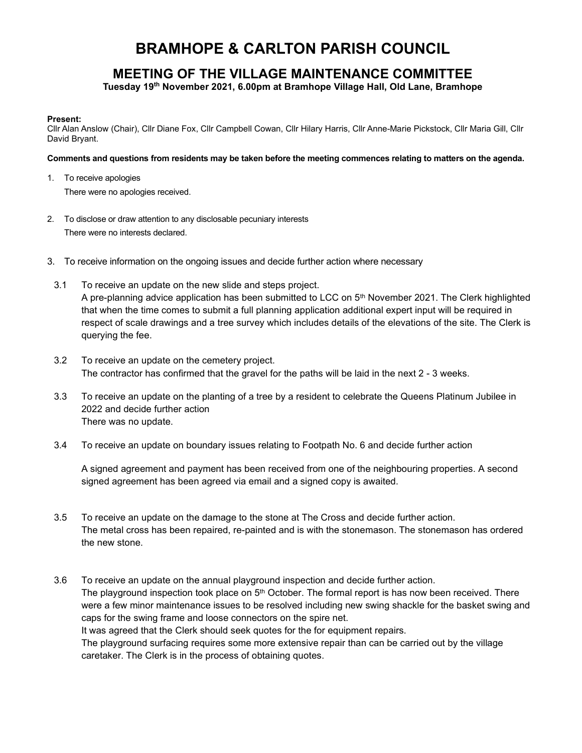# BRAMHOPE & CARLTON PARISH COUNCIL

# MEETING OF THE VILLAGE MAINTENANCE COMMITTEE

Tuesday 19th November 2021, 6.00pm at Bramhope Village Hall, Old Lane, Bramhope

#### Present:

Cllr Alan Anslow (Chair), Cllr Diane Fox, Cllr Campbell Cowan, Cllr Hilary Harris, Cllr Anne-Marie Pickstock, Cllr Maria Gill, Cllr David Bryant.

#### Comments and questions from residents may be taken before the meeting commences relating to matters on the agenda.

- 1. To receive apologies There were no apologies received.
- 2. To disclose or draw attention to any disclosable pecuniary interests There were no interests declared.
- 3. To receive information on the ongoing issues and decide further action where necessary
- 3.1 To receive an update on the new slide and steps project. A pre-planning advice application has been submitted to LCC on 5<sup>th</sup> November 2021. The Clerk highlighted that when the time comes to submit a full planning application additional expert input will be required in respect of scale drawings and a tree survey which includes details of the elevations of the site. The Clerk is querying the fee.
- 3.2 To receive an update on the cemetery project. The contractor has confirmed that the gravel for the paths will be laid in the next 2 - 3 weeks.
- 3.3 To receive an update on the planting of a tree by a resident to celebrate the Queens Platinum Jubilee in 2022 and decide further action There was no update.
- 3.4 To receive an update on boundary issues relating to Footpath No. 6 and decide further action

A signed agreement and payment has been received from one of the neighbouring properties. A second signed agreement has been agreed via email and a signed copy is awaited.

- 3.5 To receive an update on the damage to the stone at The Cross and decide further action. The metal cross has been repaired, re-painted and is with the stonemason. The stonemason has ordered the new stone.
- 3.6 To receive an update on the annual playground inspection and decide further action. The playground inspection took place on 5<sup>th</sup> October. The formal report is has now been received. There were a few minor maintenance issues to be resolved including new swing shackle for the basket swing and caps for the swing frame and loose connectors on the spire net. It was agreed that the Clerk should seek quotes for the for equipment repairs. The playground surfacing requires some more extensive repair than can be carried out by the village caretaker. The Clerk is in the process of obtaining quotes.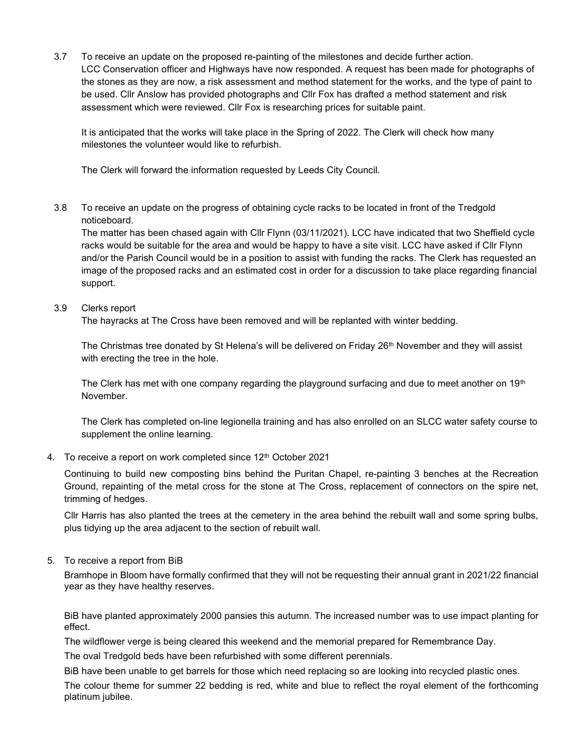3.7 To receive an update on the proposed re-painting of the milestones and decide further action. LCC Conservation officer and Highways have now responded. A request has been made for photographs of the stones as they are now, a risk assessment and method statement for the works, and the type of paint to be used. Cllr Anslow has provided photographs and Cllr Fox has drafted a method statement and risk assessment which were reviewed. Cllr Fox is researching prices for suitable paint.

It is anticipated that the works will take place in the Spring of 2022. The Clerk will check how many milestones the volunteer would like to refurbish.

The Clerk will forward the information requested by Leeds City Council.

3.8 To receive an update on the progress of obtaining cycle racks to be located in front of the Tredgold noticeboard.

The matter has been chased again with Cllr Flynn (03/11/2021). LCC have indicated that two Sheffield cycle racks would be suitable for the area and would be happy to have a site visit. LCC have asked if Cllr Flynn and/or the Parish Council would be in a position to assist with funding the racks. The Clerk has requested an image of the proposed racks and an estimated cost in order for a discussion to take place regarding financial support.

# 3.9 Clerks report

The hayracks at The Cross have been removed and will be replanted with winter bedding.

The Christmas tree donated by St Helena's will be delivered on Friday 26<sup>th</sup> November and they will assist with erecting the tree in the hole.

The Clerk has met with one company regarding the playground surfacing and due to meet another on 19<sup>th</sup> November.

The Clerk has completed on-line legionella training and has also enrolled on an SLCC water safety course to supplement the online learning.

## 4. To receive a report on work completed since 12<sup>th</sup> October 2021

Continuing to build new composting bins behind the Puritan Chapel, re-painting 3 benches at the Recreation Ground, repainting of the metal cross for the stone at The Cross, replacement of connectors on the spire net, trimming of hedges.

Cllr Harris has also planted the trees at the cemetery in the area behind the rebuilt wall and some spring bulbs, plus tidying up the area adjacent to the section of rebuilt wall.

## 5. To receive a report from BiB

Bramhope in Bloom have formally confirmed that they will not be requesting their annual grant in 2021/22 financial year as they have healthy reserves.

BiB have planted approximately 2000 pansies this autumn. The increased number was to use impact planting for effect.

The wildflower verge is being cleared this weekend and the memorial prepared for Remembrance Day.

The oval Tredgold beds have been refurbished with some different perennials.

BiB have been unable to get barrels for those which need replacing so are looking into recycled plastic ones.

The colour theme for summer 22 bedding is red, white and blue to reflect the royal element of the forthcoming platinum jubilee.